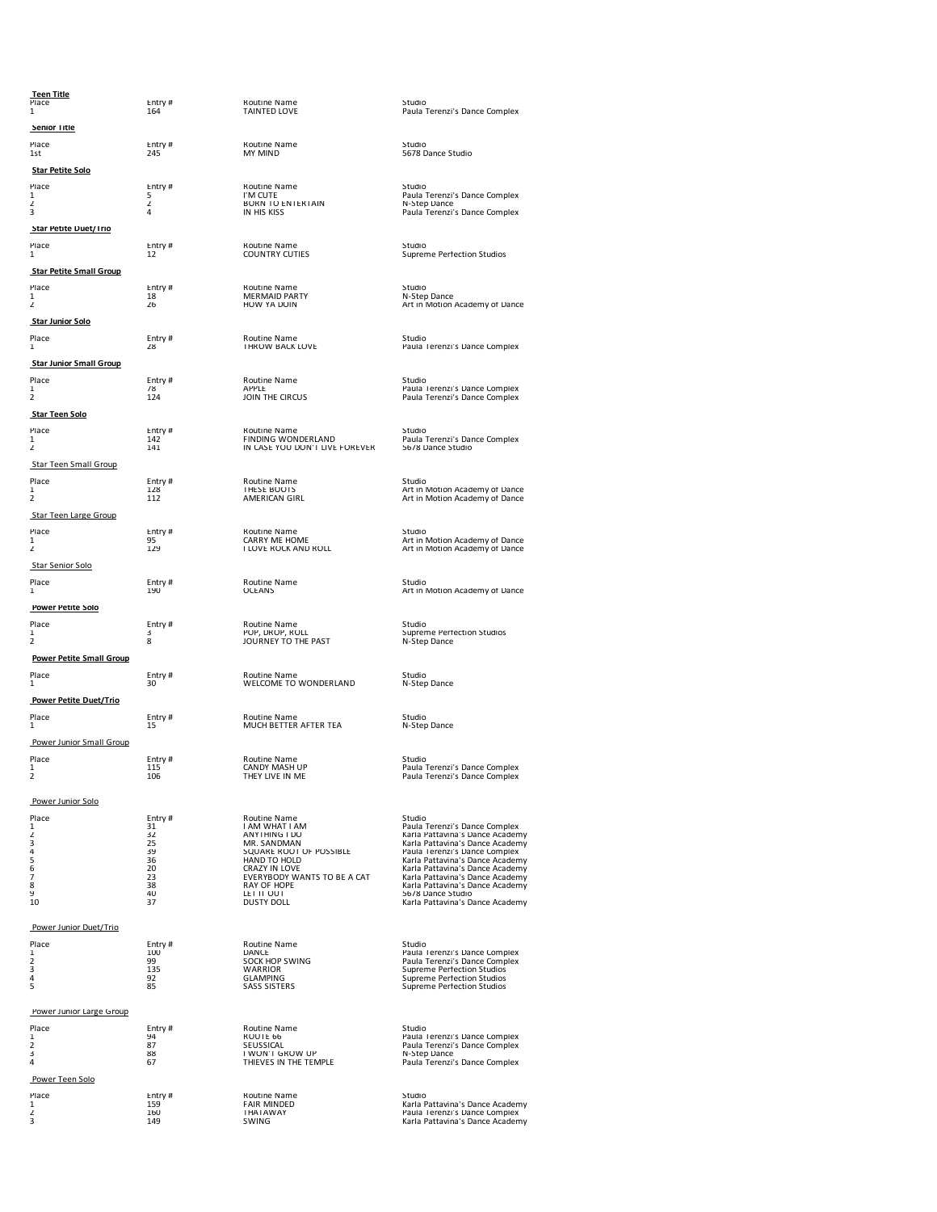**Teen Title**

 **Senior Title**

**Star Petite Solo**

 **Star Petite Duet/Trio**

 **Star Petite Small Group**

 **Star Junior Solo**

 **Star Junior Small Group**

 **Star Teen Solo**

Star Teen Small Group

Star Teen Large Group

Star Senior Solo

 **Power Petite Solo**

**Power Petite Small Group**

 **Power Petite Duet/Trio**

Power Junior Small Group

Power Junior Solo

| riace         | ы.             |
|---------------|----------------|
| 1             | 31             |
|               | 32             |
| $\frac{2}{3}$ |                |
| 4             | 25<br>35       |
|               | 36             |
| 5<br>6        | 20             |
| 7             | 23             |
| 8             | 38             |
| $\circ$       | $\overline{A}$ |

Power Junior Duet/Trio

Power Junior Large Group

Power Teen Solo

Place Entry # Routine Name Studio 1st 245 MY MIND 5678 Dance Studio 1st 245 MY MIND 5678 Dance Studio

Place Entry # Routine Name Studio 164 Studio 164 TAINTED LOVE Paula Terenzi's Dance Complex

Place Entry # Routine Name Studio 1 5 IVM CUTE Paula Terenzi's Dance Complex<br>1 2 2 2 2 2 2 BORN TO ENTERTAIN N-Step Dance Complex<br>2 4 IN HIS KISS Paula Terenzi's Dance Complex

Place entry # Routine Name Studio 3 and Studio 12 COUNTRY CUTIES Supreme Perfection Studios<br>12 12 COUNTRY CUTIES Supreme Perfection Studios

Place Entry # Routine Name Studio 1 18 MERMAID PARTY Studio 1 28 MERMAID PARTY N-Step Dance 2 2 26 HOW YA DOIN Art in Motion Academy of Dance 2 2

Place Entry # Routine Name Studio 3 28 THROW BACK LOVE Paula Terenzi's Dance Complex

Place Entry # Routine Name Studio 1 78 APPLE Paula Terenzi's Dance Complex 2 124 JOIN THE CIRCUS Paula Terenzi's Dance Complex

Place Entry # Routine Name Studio Studio 142 FINDING WONDERLAND Paula Terenzi's Dance Complex<br>1942 The Studio 142 IN CASE YOU DON'T LIVE FOREVER 5678 Dance Studio

Place 1 128 Entry # 128 Routine Name 1 128 Studio 1 128 THESE BOOTS<br>1 128 THESE BOOTS 2 112 AMERICAN GIRL Art in Motion Academy of Dance<br>2 112 AMERICAN GIRL Art in Motion Academy of Dance

Place Entry # Routine Name <br>1 95 CARRY ME HOME Art in Motion Academy of Dance<br>2 129 I LOVE ROCK AND ROLL Art in Motion Academy of Dance

Place Entry # Routine Name Studio Studio 1 190 CEANS Art in Motion Academy of Dance

Place Entry # Routine Name Studio 1 3 Pop, 2 3 Pop, 2 3 Pop, 2 3 Pop, 2 8 Studio 1 3 Pop, 2 8 Pop, 2 9 Pop, 2 9<br>1 2 2 8 JOURNEY TO THE PAST N-Step Dance

Place Entry # Routine Name Notine Name Studio Studio 30 WELCOME TO WONDERLAND N-Step Dance

Place Entry # Routine Name Studio 1 31 I AM WHAT I AM Paula Terenzi's Dance Complex 2 32 ANYTHING I DO Karla Pattavina's Dance Academy 3 25 MR. SANDMAN Karla Pattavina's Dance Academy 4 39 SQUARE ROOT OF POSSIBLE Paula Terenzi's Dance Complex 5 36 HAND TO HOLD Karla Pattavina's Dance Academy 6 20 CRAZY IN LOVE Karla Pattavina's Dance Academy 7 23 EVERYBODY WANTS TO BE A CAT Karla Pattavina's Dance Academy 8 38 RAY OF HOPE Karla Pattavina's Dance Academy 9 40 LET IT OUT 5678 Dance Studio 10 37 DUSTY DOLL Karla Pattavina's Dance Academy

Place Entry # Routine Name Studio 1 100 DANCE Paula Terenzi's Dance Complex 2 99 SOCK HOP SWING Paula Terenzi's Dance Complex 3 135 WARRIOR Supreme Perfection Studios 4 92 GLAMPING Supreme Perfection Studios 5 85 SASS SISTERS Supreme Perfection Studios

Place Entry # Routine Name Studio 1 94 Routine Name Studio 1 94 ROUTE 66 Paula Terenzi's Dance Complex 2 87 SEUSSICAL Paula Terenzi's Dance Complex 3 88 SEUSSICAL PAULA TERENZI'S Dance Complex 3 88 SEUSSICAL PAULA TEMPLE 2

Place Entry # Routine Name Studio 1 2 159 FAIR MINDED<br>1 159 FAIR MINDED 160 THATAWAY Paula Terenzi's Dance Academy<br>2 160 SWING Karla Pattavina's Dance Academy<br>3 149 SWING Karla Pattavina's Dance Academy

Place Entry # Routine Name Studio Studio 1<br>15 MUCH BETTER AFTER TEA N-Step Dance

Place Entry # Routine Name Studio 115 CANDY MASH UP Paula Terenzi's Dance Complex 115 CANDY MASH UP Paula Terenzi's Dance Complex 2 106 THEY LIVE IN ME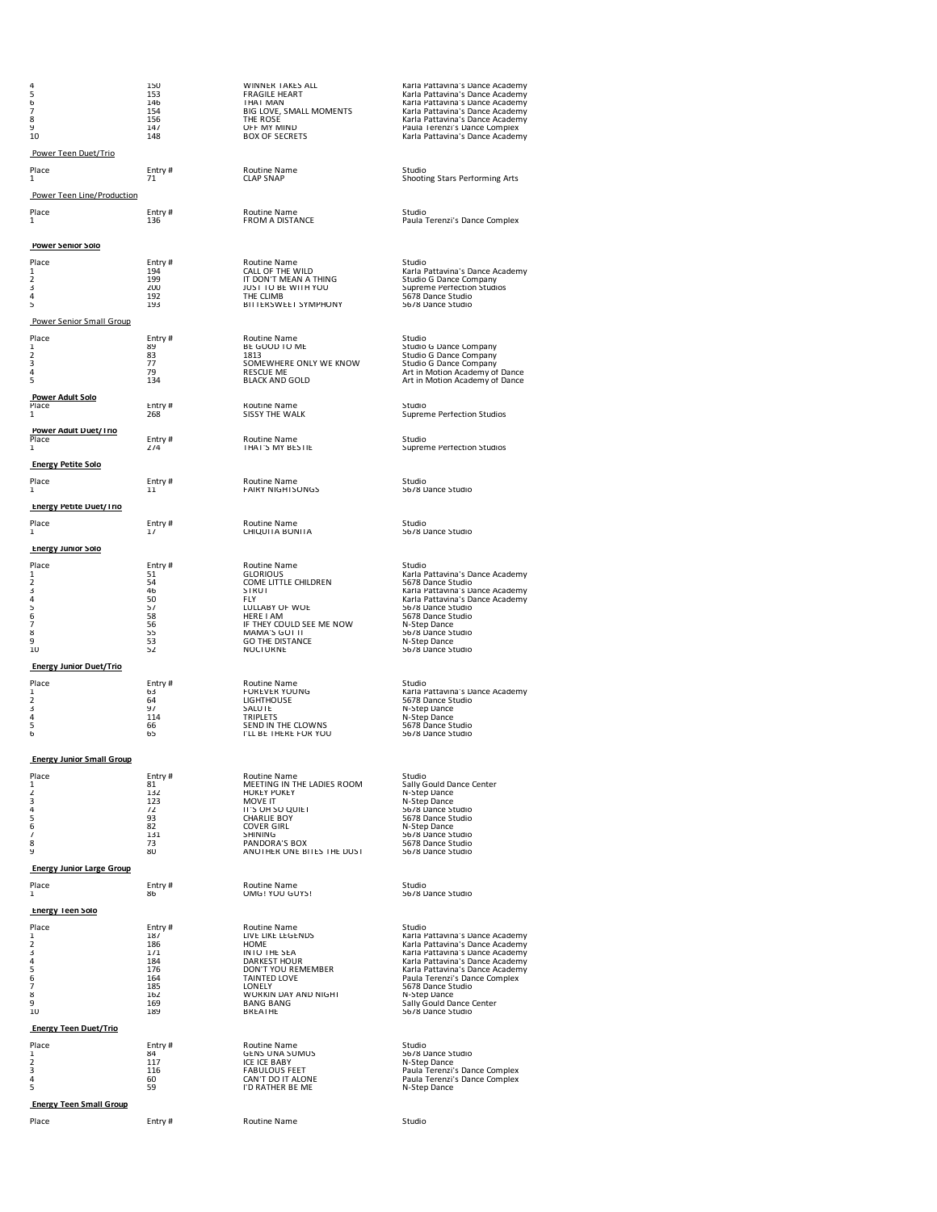| 4<br>5<br>6<br>7<br>8<br>9            | 150<br>153<br>146<br>154<br>156 | WINNER TAKES ALL<br><b>FRAGILE HEART</b><br>THAT MAN<br>BIG LOVE, SMALL MOMENTS<br>THE ROSE | Karla Pattavina's Dance Academy<br>Karla Pattavina's Dance Academy<br>Karla Pattavina's Dance Academy<br>Karla Pattavina's Dance Academy<br>Karla Pattavina's Dance Academy |
|---------------------------------------|---------------------------------|---------------------------------------------------------------------------------------------|-----------------------------------------------------------------------------------------------------------------------------------------------------------------------------|
| 10                                    | 147<br>148                      | OFF MY MIND<br><b>BOX OF SECRETS</b>                                                        | Paula Terenzi's Dance Complex<br>Karla Pattavina's Dance Academy                                                                                                            |
| Power Teen Duet/Trio                  |                                 |                                                                                             |                                                                                                                                                                             |
| Place<br>1                            | Entry#<br>71                    | Routine Name<br><b>CLAP SNAP</b>                                                            | Studio<br>Shooting Stars Performing Arts                                                                                                                                    |
| Power Teen Line/Production            |                                 |                                                                                             |                                                                                                                                                                             |
| Place<br>1                            | Entry #<br>136                  | Routine Name<br><b>FROM A DISTANCE</b>                                                      | Studio<br>Paula Terenzi's Dance Complex                                                                                                                                     |
| <b>Power Senior Solo</b>              |                                 |                                                                                             |                                                                                                                                                                             |
| Place<br>1                            | Entry #<br>194                  | Routine Name<br>CALL OF THE WILD                                                            | Studio<br>Karla Pattavina's Dance Academy                                                                                                                                   |
| 2<br>3                                | 199<br>200                      | IT DON'T MEAN A THING<br>JUST TO BE WITH YOU                                                | Studio G Dance Company<br>Supreme Perfection Studios                                                                                                                        |
| 4<br>5                                | 192<br>193                      | THE CLIMB<br>BITTERSWEET SYMPHONY                                                           | 5678 Dance Studio<br>5678 Dance Studio                                                                                                                                      |
| Power Senior Small Group              |                                 |                                                                                             |                                                                                                                                                                             |
| Place                                 | Entry #                         | Routine Name                                                                                | Studio                                                                                                                                                                      |
| 1<br>2                                | 89<br>83                        | BE GOOD TO ME<br>1813                                                                       | Studio G Dance Company<br>Studio G Dance Company                                                                                                                            |
| 3<br>4                                | 77<br>79                        | SOMEWHERE ONLY WE KNOW<br><b>RESCUE ME</b>                                                  | Studio G Dance Company<br>Art in Motion Academy of Dance                                                                                                                    |
| 5                                     | 134                             | <b>BLACK AND GOLD</b>                                                                       | Art in Motion Academy of Dance                                                                                                                                              |
| <b>Power Adult Solo</b><br>Place<br>1 | Entry #<br>268                  | Routine Name<br>SISSY THE WALK                                                              | Studio<br>Supreme Perfection Studios                                                                                                                                        |
| Power Adult Duet/Trio                 |                                 |                                                                                             |                                                                                                                                                                             |
| Place<br>1                            | Entry#<br>274                   | Routine Name<br>THAT'S MY BESTIE                                                            | Studio<br>Supreme Pertection Studios                                                                                                                                        |
| <b>Energy Petite Solo</b>             |                                 |                                                                                             |                                                                                                                                                                             |
| Place<br>1                            | Entry #<br>11                   | Routine Name<br><b>FAIRY NIGHTSONGS</b>                                                     | Studio<br>5678 Dance Studio                                                                                                                                                 |
| <b>Energy Petite Duet/Trio</b>        |                                 |                                                                                             |                                                                                                                                                                             |
| Place<br>1                            | Entry#<br>17                    | Routine Name<br>CHIQUITA BONITA                                                             | Studio<br>5678 Dance Studio                                                                                                                                                 |
| <b>Energy Junior Solo</b>             |                                 |                                                                                             |                                                                                                                                                                             |
| Place                                 | Entry #                         | Routine Name                                                                                | Studio                                                                                                                                                                      |
| 1<br>2                                | 51<br>54                        | <b>GLORIOUS</b><br>COME LITTLE CHILDREN                                                     | Karla Pattavina's Dance Academy<br>5678 Dance Studio                                                                                                                        |
| 3<br>4                                | 46<br>50                        | <b>STRUT</b><br><b>FLY</b>                                                                  | Karla Pattavina's Dance Academy<br>Karla Pattavina's Dance Academy                                                                                                          |
| 5<br>6                                | 57<br>58                        | LULLABY OF WOE<br>HERE I AM                                                                 | 5678 Dance Studio<br>5678 Dance Studio                                                                                                                                      |
| 7<br>8                                | 56<br>55                        | IF THEY COULD SEE ME NOW<br>MAMA'S GOT IT                                                   | N-Step Dance<br>5678 Dance Studio                                                                                                                                           |
| 9                                     | 53<br>52                        | <b>GO THE DISTANCE</b><br><b>NOCTURNE</b>                                                   | N-Step Dance<br>5678 Dance Studio                                                                                                                                           |
| 10                                    |                                 |                                                                                             |                                                                                                                                                                             |
| <b>Energy Junior Duet/Trio</b>        |                                 |                                                                                             |                                                                                                                                                                             |
| Place<br>1                            | Entry#<br>63                    | Routine Name<br><b>FOREVER YOUNG</b>                                                        | Studio<br>Karla Pattavina's Dance Academy                                                                                                                                   |
| 2<br>3                                | 64<br>97                        | LIGHTHOUSE<br>SALUTE                                                                        | 5678 Dance Studio<br>N-Step Dance                                                                                                                                           |
| 4<br>5                                | 114<br>66                       | <b>TRIPLETS</b><br>SEND IN THE CLOWNS                                                       | N-Step Dance<br>5678 Dance Studio                                                                                                                                           |
| 6                                     | 65                              | I'LL BE THERE FOR YOU                                                                       | 5678 Dance Studio                                                                                                                                                           |
| <b>Energy Junior Small Group</b>      |                                 |                                                                                             |                                                                                                                                                                             |
| Place<br>1                            | Entry#<br>81                    | Routine Name<br>MEETING IN THE LADIES ROOM                                                  | Studio<br>Sally Gould Dance Center                                                                                                                                          |
| 2<br>3                                | 132<br>123                      | <b>HOKEY POKEY</b><br>MOVE IT                                                               | N-Step Dance<br>N-Step Dance                                                                                                                                                |
| 4<br>5                                | 72<br>93                        | IT'S OH SO QUIET                                                                            | 5678 Dance Studio                                                                                                                                                           |
| ь                                     | 82                              | <b>CHARLIE BOY</b><br><b>COVER GIRL</b>                                                     | 5678 Dance Studio<br>N-Step Dance                                                                                                                                           |
| 7<br>8                                | 131<br>73                       | SHINING<br>PANDORA'S BOX                                                                    | 5678 Dance Studio<br>5678 Dance Studio                                                                                                                                      |
| 9<br><b>Energy Junior Large Group</b> | 80                              | ANOTHER ONE BITES THE DUST                                                                  | 5678 Dance Studio                                                                                                                                                           |
| Place                                 | Entry#                          | Routine Name                                                                                | Studio                                                                                                                                                                      |
| 1                                     | 86                              | OMG! YOU GUYS!                                                                              | 5678 Dance Studio                                                                                                                                                           |
| <b>Energy Teen Solo</b><br>Place      | Entry#                          | Routine Name                                                                                | Studio                                                                                                                                                                      |
| 1<br>2                                | 187<br>186                      | LIVE LIKE LEGENDS<br>HOME                                                                   | Karla Pattavina's Dance Academy<br>Karla Pattavina's Dance Academy                                                                                                          |
| 3                                     | 171                             | <b>INTO THE SEA</b>                                                                         | Karla Pattavina's Dance Academy                                                                                                                                             |
| 4<br>5                                | 184<br>176                      | DARKEST HOUR<br>DON'T YOU REMEMBER                                                          | Karla Pattavina's Dance Academy<br>Karla Pattavina's Dance Academy                                                                                                          |
| 6<br>7                                | 164<br>185                      | TAINTED LOVE<br>LONELY                                                                      | Paula Terenzi's Dance Complex<br>5678 Dance Studio                                                                                                                          |
| 8<br>9                                | 162<br>169                      | WORKIN DAY AND NIGHT<br><b>BANG BANG</b>                                                    | N-Step Dance<br>Sally Gould Dance Center                                                                                                                                    |
| 10                                    | 189                             | BREATHE                                                                                     | 5678 Dance Studio                                                                                                                                                           |
| <b>Energy Teen Duet/Trio</b>          |                                 |                                                                                             |                                                                                                                                                                             |
| Place                                 | Entry #<br>84                   | Routine Name                                                                                | Studio                                                                                                                                                                      |
| 1<br>2                                | 117                             | <b>GENS UNA SUMUS</b><br>ICE ICE BABY                                                       | 5678 Dance Studio<br>N-Step Dance                                                                                                                                           |
| 3<br>4                                | 116<br>60                       | <b>FABULOUS FEET</b><br>CAN'T DO IT ALONE                                                   | Paula Terenzi's Dance Complex<br>Paula Terenzi's Dance Complex                                                                                                              |
| 5                                     | 59                              | I'D RATHER BE ME                                                                            | N-Step Dance                                                                                                                                                                |
| <b>Energy Teen Small Group</b>        |                                 |                                                                                             |                                                                                                                                                                             |
| Place                                 | Entry #                         | Routine Name                                                                                | Studio                                                                                                                                                                      |